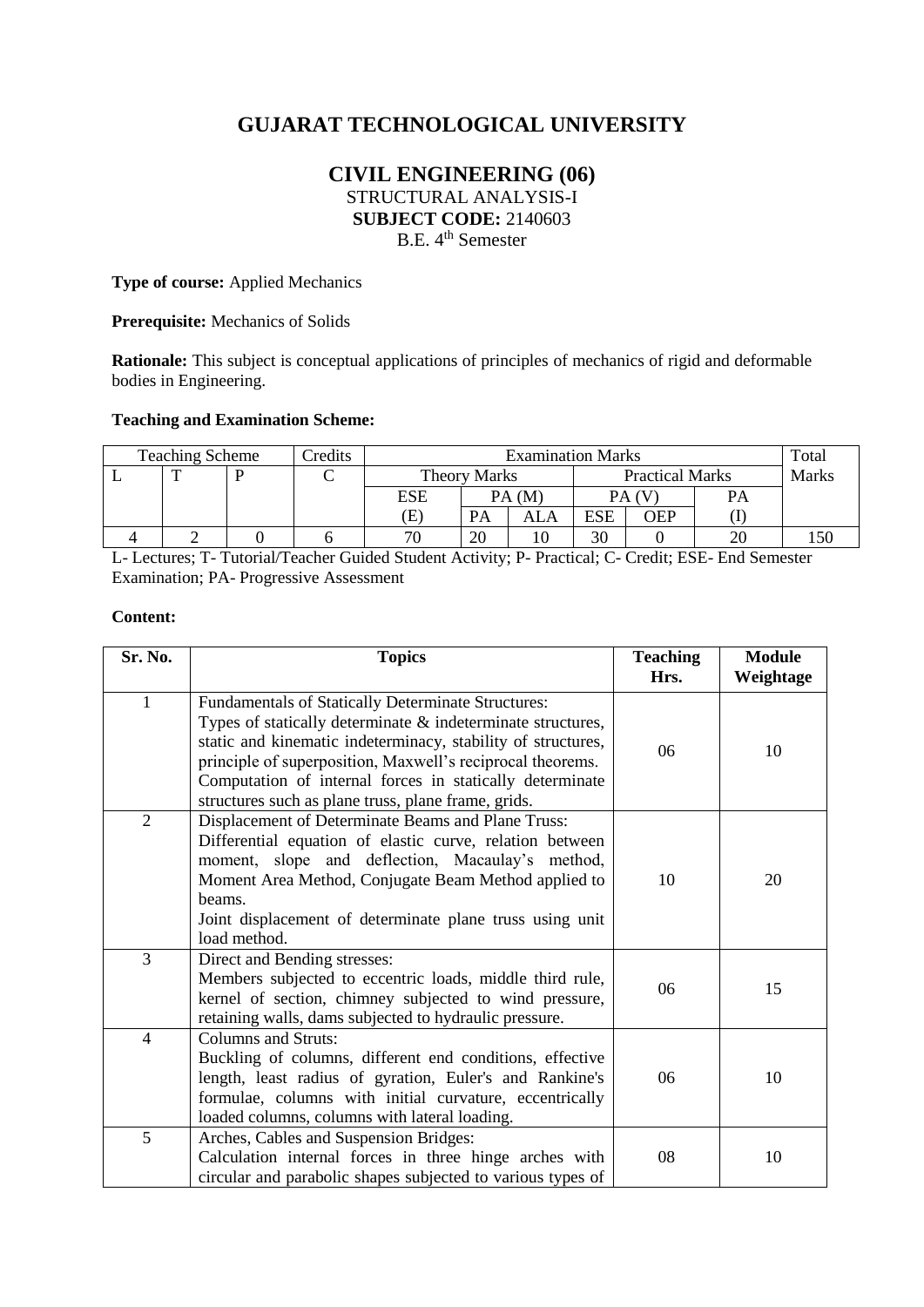# **GUJARAT TECHNOLOGICAL UNIVERSITY**

# **CIVIL ENGINEERING (06)** STRUCTURAL ANALYSIS-I **SUBJECT CODE:** 2140603 B.E. 4<sup>th</sup> Semester

**Type of course:** Applied Mechanics

**Prerequisite:** Mechanics of Solids

**Rationale:** This subject is conceptual applications of principles of mechanics of rigid and deformable bodies in Engineering.

## **Teaching and Examination Scheme:**

| <b>Teaching Scheme</b> |   |  | Credits | <b>Examination Marks</b> |    |                        |     | Total |              |  |
|------------------------|---|--|---------|--------------------------|----|------------------------|-----|-------|--------------|--|
|                        | m |  |         | <b>Theory Marks</b>      |    | <b>Practical Marks</b> |     |       | <b>Marks</b> |  |
|                        |   |  |         | ESE                      |    | PA (M                  |     |       | <b>PA</b>    |  |
|                        |   |  |         | Œ                        | PA | ALA                    | ESE | OEP   |              |  |
|                        |   |  |         | 70                       | 20 |                        | 30  |       | $\cap$       |  |

L- Lectures; T- Tutorial/Teacher Guided Student Activity; P- Practical; C- Credit; ESE- End Semester Examination; PA- Progressive Assessment

#### **Content:**

| Sr. No.        | <b>Topics</b>                                                                                                                                                                                                                                                                                                                                                         | <b>Teaching</b><br>Hrs. | <b>Module</b><br>Weightage |
|----------------|-----------------------------------------------------------------------------------------------------------------------------------------------------------------------------------------------------------------------------------------------------------------------------------------------------------------------------------------------------------------------|-------------------------|----------------------------|
| $\mathbf{1}$   | Fundamentals of Statically Determinate Structures:<br>Types of statically determinate $\&$ indeterminate structures,<br>static and kinematic indeterminacy, stability of structures,<br>principle of superposition, Maxwell's reciprocal theorems.<br>Computation of internal forces in statically determinate<br>structures such as plane truss, plane frame, grids. | 06                      | 10                         |
| $\overline{2}$ | Displacement of Determinate Beams and Plane Truss:<br>Differential equation of elastic curve, relation between<br>moment, slope and deflection, Macaulay's method,<br>Moment Area Method, Conjugate Beam Method applied to<br>beams.<br>Joint displacement of determinate plane truss using unit<br>load method.                                                      | 10                      | 20                         |
| $\overline{3}$ | Direct and Bending stresses:<br>Members subjected to eccentric loads, middle third rule,<br>kernel of section, chimney subjected to wind pressure,<br>retaining walls, dams subjected to hydraulic pressure.                                                                                                                                                          | 06                      | 15                         |
| $\overline{4}$ | <b>Columns and Struts:</b><br>Buckling of columns, different end conditions, effective<br>length, least radius of gyration, Euler's and Rankine's<br>formulae, columns with initial curvature, eccentrically<br>loaded columns, columns with lateral loading.                                                                                                         | 06                      | 10                         |
| 5              | Arches, Cables and Suspension Bridges:<br>Calculation internal forces in three hinge arches with<br>circular and parabolic shapes subjected to various types of                                                                                                                                                                                                       | 08                      | 10                         |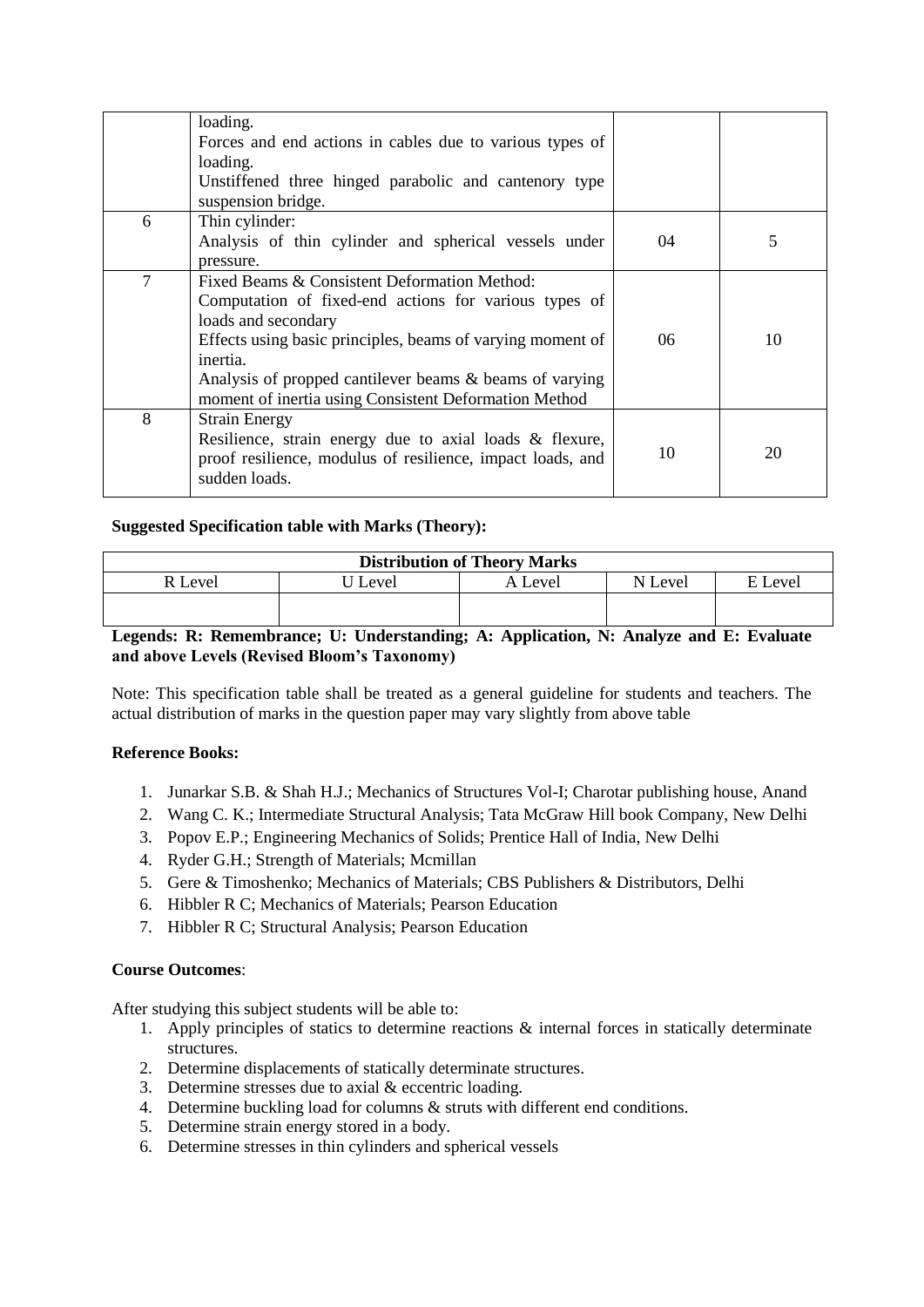|   | loading.                                                                                                                                                                                                                                                                                                                   |    |    |
|---|----------------------------------------------------------------------------------------------------------------------------------------------------------------------------------------------------------------------------------------------------------------------------------------------------------------------------|----|----|
|   | Forces and end actions in cables due to various types of<br>loading.                                                                                                                                                                                                                                                       |    |    |
|   | Unstiffened three hinged parabolic and cantenory type                                                                                                                                                                                                                                                                      |    |    |
|   | suspension bridge.                                                                                                                                                                                                                                                                                                         |    |    |
| 6 | Thin cylinder:<br>Analysis of thin cylinder and spherical vessels under<br>pressure.                                                                                                                                                                                                                                       | 04 | 5  |
| 7 | Fixed Beams & Consistent Deformation Method:<br>Computation of fixed-end actions for various types of<br>loads and secondary<br>Effects using basic principles, beams of varying moment of<br>inertia.<br>Analysis of propped cantilever beams & beams of varying<br>moment of inertia using Consistent Deformation Method | 06 | 10 |
| 8 | <b>Strain Energy</b><br>Resilience, strain energy due to axial loads & flexure,<br>proof resilience, modulus of resilience, impact loads, and<br>sudden loads.                                                                                                                                                             | 10 | 20 |

# **Suggested Specification table with Marks (Theory):**

| <b>Distribution of Theory Marks</b> |       |         |         |             |  |  |  |
|-------------------------------------|-------|---------|---------|-------------|--|--|--|
| R Level                             | Level | A Level | N Level | Level<br>F. |  |  |  |
|                                     |       |         |         |             |  |  |  |

# **Legends: R: Remembrance; U: Understanding; A: Application, N: Analyze and E: Evaluate and above Levels (Revised Bloom's Taxonomy)**

Note: This specification table shall be treated as a general guideline for students and teachers. The actual distribution of marks in the question paper may vary slightly from above table

## **Reference Books:**

- 1. Junarkar S.B. & Shah H.J.; Mechanics of Structures Vol-I; Charotar publishing house, Anand
- 2. Wang C. K.; Intermediate Structural Analysis; Tata McGraw Hill book Company, New Delhi
- 3. Popov E.P.; Engineering Mechanics of Solids; Prentice Hall of India, New Delhi
- 4. Ryder G.H.; Strength of Materials; Mcmillan
- 5. Gere & Timoshenko; Mechanics of Materials; CBS Publishers & Distributors, Delhi
- 6. Hibbler R C; Mechanics of Materials; Pearson Education
- 7. Hibbler R C; Structural Analysis; Pearson Education

# **Course Outcomes**:

After studying this subject students will be able to:

- 1. Apply principles of statics to determine reactions  $\&$  internal forces in statically determinate structures.
- 2. Determine displacements of statically determinate structures.
- 3. Determine stresses due to axial & eccentric loading.
- 4. Determine buckling load for columns & struts with different end conditions.
- 5. Determine strain energy stored in a body.
- 6. Determine stresses in thin cylinders and spherical vessels